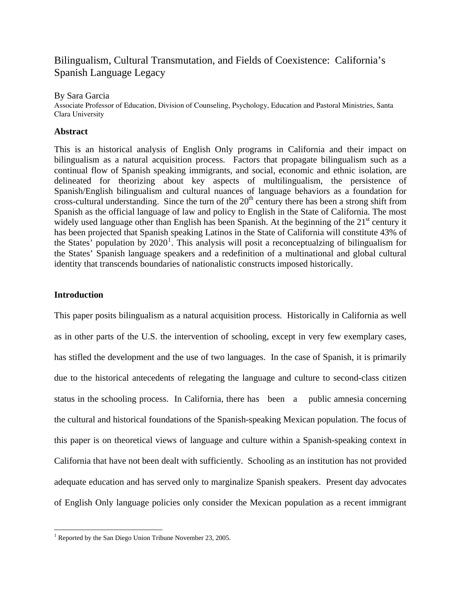# Bilingualism, Cultural Transmutation, and Fields of Coexistence: California's Spanish Language Legacy

## By Sara Garcia

Associate Professor of Education, Division of Counseling, Psychology, Education and Pastoral Ministries, Santa Clara University

# **Abstract**

This is an historical analysis of English Only programs in California and their impact on bilingualism as a natural acquisition process. Factors that propagate bilingualism such as a continual flow of Spanish speaking immigrants, and social, economic and ethnic isolation, are delineated for theorizing about key aspects of multilingualism, the persistence of Spanish/English bilingualism and cultural nuances of language behaviors as a foundation for cross-cultural understanding. Since the turn of the  $20<sup>th</sup>$  century there has been a strong shift from Spanish as the official language of law and policy to English in the State of California. The most widely used language other than English has been Spanish. At the beginning of the  $21<sup>st</sup>$  century it has been projected that Spanish speaking Latinos in the State of California will constitute 43% of the States' population by  $2020<sup>1</sup>$  $2020<sup>1</sup>$  $2020<sup>1</sup>$ . This analysis will posit a reconceptualzing of bilingualism for the States' Spanish language speakers and a redefinition of a multinational and global cultural identity that transcends boundaries of nationalistic constructs imposed historically.

## **Introduction**

This paper posits bilingualism as a natural acquisition process. Historically in California as well as in other parts of the U.S. the intervention of schooling, except in very few exemplary cases, has stifled the development and the use of two languages. In the case of Spanish, it is primarily due to the historical antecedents of relegating the language and culture to second-class citizen status in the schooling process. In California, there has been a public amnesia concerning the cultural and historical foundations of the Spanish-speaking Mexican population. The focus of this paper is on theoretical views of language and culture within a Spanish-speaking context in California that have not been dealt with sufficiently. Schooling as an institution has not provided adequate education and has served only to marginalize Spanish speakers. Present day advocates of English Only language policies only consider the Mexican population as a recent immigrant

<span id="page-0-0"></span> $\overline{a}$  $1$  Reported by the San Diego Union Tribune November 23, 2005.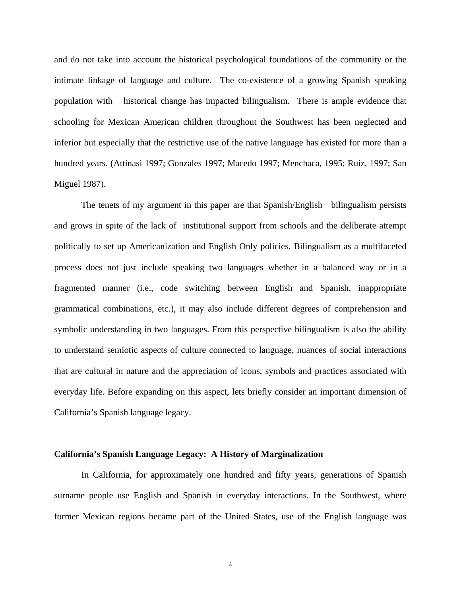and do not take into account the historical psychological foundations of the community or the intimate linkage of language and culture. The co-existence of a growing Spanish speaking population with historical change has impacted bilingualism. There is ample evidence that schooling for Mexican American children throughout the Southwest has been neglected and inferior but especially that the restrictive use of the native language has existed for more than a hundred years. (Attinasi 1997; Gonzales 1997; Macedo 1997; Menchaca, 1995; Ruiz, 1997; San Miguel 1987).

The tenets of my argument in this paper are that Spanish/English bilingualism persists and grows in spite of the lack of institutional support from schools and the deliberate attempt politically to set up Americanization and English Only policies. Bilingualism as a multifaceted process does not just include speaking two languages whether in a balanced way or in a fragmented manner (i.e., code switching between English and Spanish, inappropriate grammatical combinations, etc.), it may also include different degrees of comprehension and symbolic understanding in two languages. From this perspective bilingualism is also the ability to understand semiotic aspects of culture connected to language, nuances of social interactions that are cultural in nature and the appreciation of icons, symbols and practices associated with everyday life. Before expanding on this aspect, lets briefly consider an important dimension of California's Spanish language legacy.

#### **California's Spanish Language Legacy: A History of Marginalization**

In California, for approximately one hundred and fifty years, generations of Spanish surname people use English and Spanish in everyday interactions. In the Southwest, where former Mexican regions became part of the United States, use of the English language was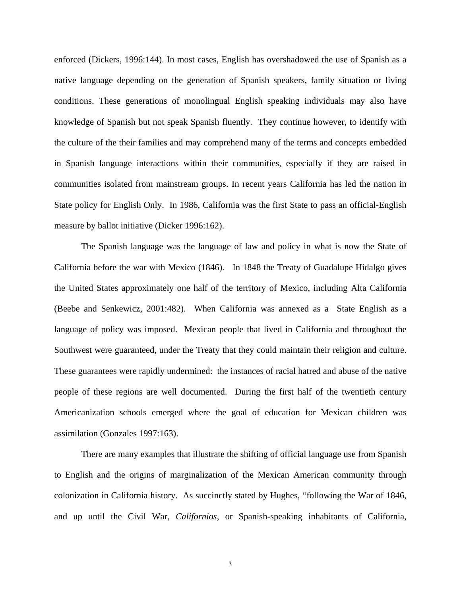enforced (Dickers, 1996:144). In most cases, English has overshadowed the use of Spanish as a native language depending on the generation of Spanish speakers, family situation or living conditions. These generations of monolingual English speaking individuals may also have knowledge of Spanish but not speak Spanish fluently. They continue however, to identify with the culture of the their families and may comprehend many of the terms and concepts embedded in Spanish language interactions within their communities, especially if they are raised in communities isolated from mainstream groups. In recent years California has led the nation in State policy for English Only. In 1986, California was the first State to pass an official-English measure by ballot initiative (Dicker 1996:162).

The Spanish language was the language of law and policy in what is now the State of California before the war with Mexico (1846). In 1848 the Treaty of Guadalupe Hidalgo gives the United States approximately one half of the territory of Mexico, including Alta California (Beebe and Senkewicz, 2001:482). When California was annexed as a State English as a language of policy was imposed. Mexican people that lived in California and throughout the Southwest were guaranteed, under the Treaty that they could maintain their religion and culture. These guarantees were rapidly undermined: the instances of racial hatred and abuse of the native people of these regions are well documented. During the first half of the twentieth century Americanization schools emerged where the goal of education for Mexican children was assimilation (Gonzales 1997:163).

There are many examples that illustrate the shifting of official language use from Spanish to English and the origins of marginalization of the Mexican American community through colonization in California history. As succinctly stated by Hughes, "following the War of 1846, and up until the Civil War, *Californios*, or Spanish-speaking inhabitants of California,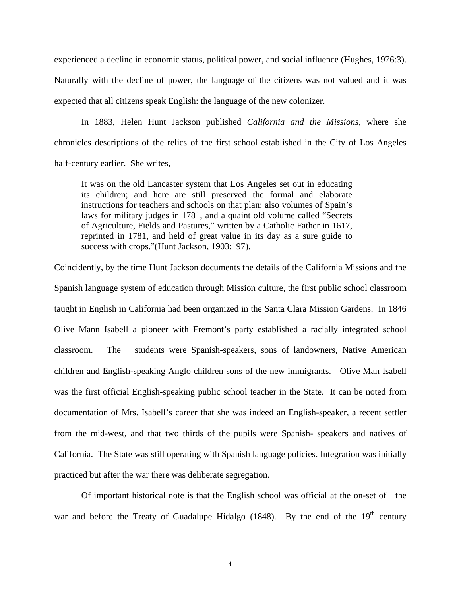experienced a decline in economic status, political power, and social influence (Hughes, 1976:3). Naturally with the decline of power, the language of the citizens was not valued and it was expected that all citizens speak English: the language of the new colonizer.

In 1883, Helen Hunt Jackson published *California and the Missions,* where she chronicles descriptions of the relics of the first school established in the City of Los Angeles half-century earlier. She writes,

It was on the old Lancaster system that Los Angeles set out in educating its children; and here are still preserved the formal and elaborate instructions for teachers and schools on that plan; also volumes of Spain's laws for military judges in 1781, and a quaint old volume called "Secrets of Agriculture, Fields and Pastures," written by a Catholic Father in 1617, reprinted in 1781, and held of great value in its day as a sure guide to success with crops."(Hunt Jackson, 1903:197).

Coincidently, by the time Hunt Jackson documents the details of the California Missions and the Spanish language system of education through Mission culture, the first public school classroom taught in English in California had been organized in the Santa Clara Mission Gardens. In 1846 Olive Mann Isabell a pioneer with Fremont's party established a racially integrated school classroom. The students were Spanish-speakers, sons of landowners, Native American children and English-speaking Anglo children sons of the new immigrants. Olive Man Isabell was the first official English-speaking public school teacher in the State. It can be noted from documentation of Mrs. Isabell's career that she was indeed an English-speaker, a recent settler from the mid-west, and that two thirds of the pupils were Spanish- speakers and natives of California. The State was still operating with Spanish language policies. Integration was initially practiced but after the war there was deliberate segregation.

Of important historical note is that the English school was official at the on-set of the war and before the Treaty of Guadalupe Hidalgo (1848). By the end of the  $19<sup>th</sup>$  century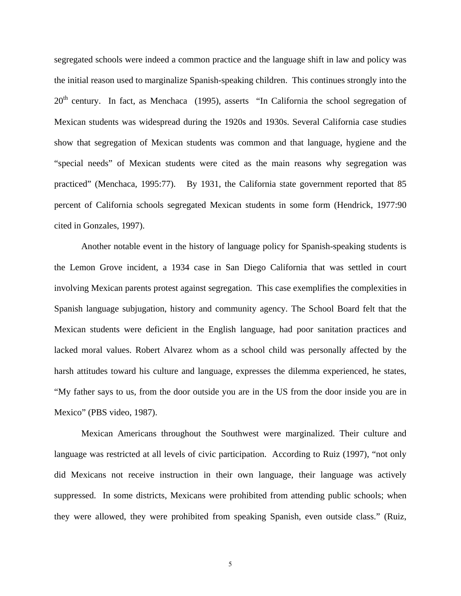segregated schools were indeed a common practice and the language shift in law and policy was the initial reason used to marginalize Spanish-speaking children. This continues strongly into the  $20<sup>th</sup>$  century. In fact, as Menchaca (1995), asserts "In California the school segregation of Mexican students was widespread during the 1920s and 1930s. Several California case studies show that segregation of Mexican students was common and that language, hygiene and the "special needs" of Mexican students were cited as the main reasons why segregation was practiced" (Menchaca, 1995:77). By 1931, the California state government reported that 85 percent of California schools segregated Mexican students in some form (Hendrick, 1977:90 cited in Gonzales, 1997).

Another notable event in the history of language policy for Spanish-speaking students is the Lemon Grove incident, a 1934 case in San Diego California that was settled in court involving Mexican parents protest against segregation. This case exemplifies the complexities in Spanish language subjugation, history and community agency. The School Board felt that the Mexican students were deficient in the English language, had poor sanitation practices and lacked moral values. Robert Alvarez whom as a school child was personally affected by the harsh attitudes toward his culture and language, expresses the dilemma experienced, he states, "My father says to us, from the door outside you are in the US from the door inside you are in Mexico" (PBS video, 1987).

Mexican Americans throughout the Southwest were marginalized. Their culture and language was restricted at all levels of civic participation. According to Ruiz (1997), "not only did Mexicans not receive instruction in their own language, their language was actively suppressed. In some districts, Mexicans were prohibited from attending public schools; when they were allowed, they were prohibited from speaking Spanish, even outside class." (Ruiz,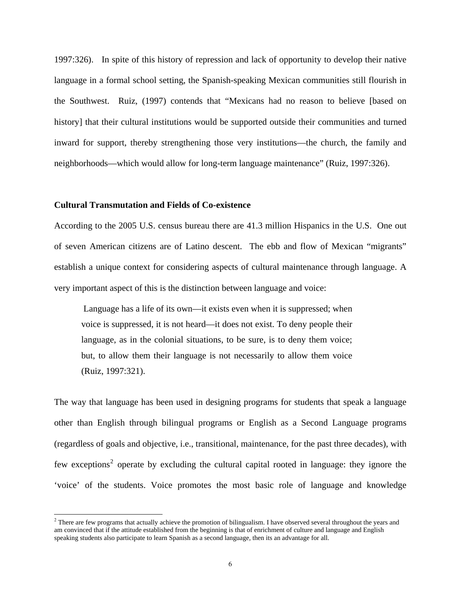1997:326). In spite of this history of repression and lack of opportunity to develop their native language in a formal school setting, the Spanish-speaking Mexican communities still flourish in the Southwest. Ruiz, (1997) contends that "Mexicans had no reason to believe [based on history] that their cultural institutions would be supported outside their communities and turned inward for support, thereby strengthening those very institutions—the church, the family and neighborhoods—which would allow for long-term language maintenance" (Ruiz, 1997:326).

## **Cultural Transmutation and Fields of Co-existence**

 $\overline{a}$ 

According to the 2005 U.S. census bureau there are 41.3 million Hispanics in the U.S. One out of seven American citizens are of Latino descent. The ebb and flow of Mexican "migrants" establish a unique context for considering aspects of cultural maintenance through language. A very important aspect of this is the distinction between language and voice:

 Language has a life of its own—it exists even when it is suppressed; when voice is suppressed, it is not heard—it does not exist. To deny people their language, as in the colonial situations, to be sure, is to deny them voice; but, to allow them their language is not necessarily to allow them voice (Ruiz, 1997:321).

The way that language has been used in designing programs for students that speak a language other than English through bilingual programs or English as a Second Language programs (regardless of goals and objective, i.e., transitional, maintenance, for the past three decades), with few exceptions<sup>[2](#page-5-0)</sup> operate by excluding the cultural capital rooted in language: they ignore the 'voice' of the students. Voice promotes the most basic role of language and knowledge

<span id="page-5-0"></span> $<sup>2</sup>$  There are few programs that actually achieve the promotion of bilingualism. I have observed several throughout the years and</sup> am convinced that if the attitude established from the beginning is that of enrichment of culture and language and English speaking students also participate to learn Spanish as a second language, then its an advantage for all.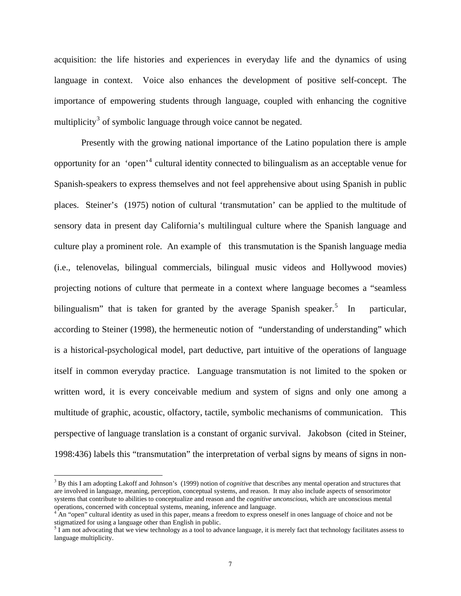acquisition: the life histories and experiences in everyday life and the dynamics of using language in context. Voice also enhances the development of positive self-concept. The importance of empowering students through language, coupled with enhancing the cognitive multiplicity<sup>[3](#page-6-0)</sup> of symbolic language through voice cannot be negated.

Presently with the growing national importance of the Latino population there is ample opportunity for an 'open'<sup>[4](#page-6-1)</sup> cultural identity connected to bilingualism as an acceptable venue for Spanish-speakers to express themselves and not feel apprehensive about using Spanish in public places. Steiner's (1975) notion of cultural 'transmutation' can be applied to the multitude of sensory data in present day California's multilingual culture where the Spanish language and culture play a prominent role. An example of this transmutation is the Spanish language media (i.e., telenovelas, bilingual commercials, bilingual music videos and Hollywood movies) projecting notions of culture that permeate in a context where language becomes a "seamless bilingualism" that is taken for granted by the average Spanish speaker.<sup>[5](#page-6-2)</sup> In particular, according to Steiner (1998), the hermeneutic notion of "understanding of understanding" which is a historical-psychological model, part deductive, part intuitive of the operations of language itself in common everyday practice. Language transmutation is not limited to the spoken or written word, it is every conceivable medium and system of signs and only one among a multitude of graphic, acoustic, olfactory, tactile, symbolic mechanisms of communication. This perspective of language translation is a constant of organic survival. Jakobson (cited in Steiner, 1998:436) labels this "transmutation" the interpretation of verbal signs by means of signs in non-

 $\overline{a}$ 

<span id="page-6-0"></span><sup>3</sup> By this I am adopting Lakoff and Johnson's (1999) notion of *cognitive* that describes any mental operation and structures that are involved in language, meaning, perception, conceptual systems, and reason. It may also include aspects of sensorimotor systems that contribute to abilities to conceptualize and reason and the *cognitive unconscious*, which are unconscious mental

<span id="page-6-1"></span>operations, concerned with conceptual systems, meaning, inference and language.<br><sup>4</sup> An "open" cultural identity as used in this paper, means a freedom to express oneself in ones language of choice and not be stigmatized for using a language other than English in public.

<span id="page-6-2"></span> $10<sup>5</sup>$  I am not advocating that we view technology as a tool to advance language, it is merely fact that technology facilitates assess to language multiplicity.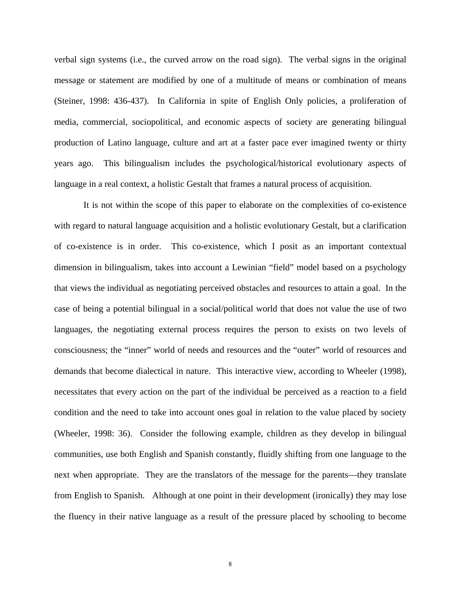verbal sign systems (i.e., the curved arrow on the road sign). The verbal signs in the original message or statement are modified by one of a multitude of means or combination of means (Steiner, 1998: 436-437). In California in spite of English Only policies, a proliferation of media, commercial, sociopolitical, and economic aspects of society are generating bilingual production of Latino language, culture and art at a faster pace ever imagined twenty or thirty years ago. This bilingualism includes the psychological/historical evolutionary aspects of language in a real context, a holistic Gestalt that frames a natural process of acquisition.

 It is not within the scope of this paper to elaborate on the complexities of co-existence with regard to natural language acquisition and a holistic evolutionary Gestalt, but a clarification of co-existence is in order. This co-existence, which I posit as an important contextual dimension in bilingualism, takes into account a Lewinian "field" model based on a psychology that views the individual as negotiating perceived obstacles and resources to attain a goal. In the case of being a potential bilingual in a social/political world that does not value the use of two languages, the negotiating external process requires the person to exists on two levels of consciousness; the "inner" world of needs and resources and the "outer" world of resources and demands that become dialectical in nature. This interactive view, according to Wheeler (1998), necessitates that every action on the part of the individual be perceived as a reaction to a field condition and the need to take into account ones goal in relation to the value placed by society (Wheeler, 1998: 36). Consider the following example, children as they develop in bilingual communities, use both English and Spanish constantly, fluidly shifting from one language to the next when appropriate. They are the translators of the message for the parents—they translate from English to Spanish. Although at one point in their development (ironically) they may lose the fluency in their native language as a result of the pressure placed by schooling to become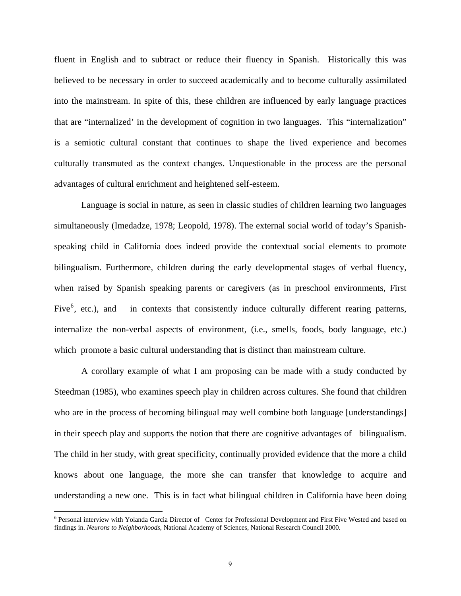fluent in English and to subtract or reduce their fluency in Spanish. Historically this was believed to be necessary in order to succeed academically and to become culturally assimilated into the mainstream. In spite of this, these children are influenced by early language practices that are "internalized' in the development of cognition in two languages. This "internalization" is a semiotic cultural constant that continues to shape the lived experience and becomes culturally transmuted as the context changes. Unquestionable in the process are the personal advantages of cultural enrichment and heightened self-esteem.

Language is social in nature, as seen in classic studies of children learning two languages simultaneously (Imedadze, 1978; Leopold, 1978). The external social world of today's Spanishspeaking child in California does indeed provide the contextual social elements to promote bilingualism. Furthermore, children during the early developmental stages of verbal fluency, when raised by Spanish speaking parents or caregivers (as in preschool environments, First Five $<sup>6</sup>$  $<sup>6</sup>$  $<sup>6</sup>$ , etc.), and</sup> in contexts that consistently induce culturally different rearing patterns, internalize the non-verbal aspects of environment, (i.e., smells, foods, body language, etc.) which promote a basic cultural understanding that is distinct than mainstream culture.

A corollary example of what I am proposing can be made with a study conducted by Steedman (1985), who examines speech play in children across cultures. She found that children who are in the process of becoming bilingual may well combine both language [understandings] in their speech play and supports the notion that there are cognitive advantages of bilingualism. The child in her study, with great specificity, continually provided evidence that the more a child knows about one language, the more she can transfer that knowledge to acquire and understanding a new one. This is in fact what bilingual children in California have been doing

 $\overline{a}$ 

<span id="page-8-0"></span><sup>6</sup> Personal interview with Yolanda Garcia Director of Center for Professional Development and First Five Wested and based on findings in. *Neurons to Neighborhoods*, National Academy of Sciences, National Research Council 2000.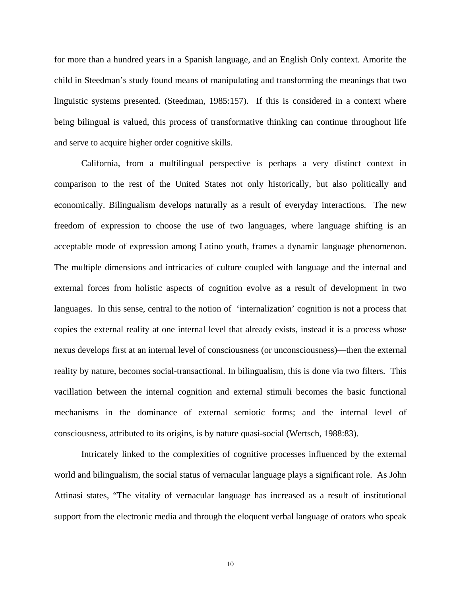for more than a hundred years in a Spanish language, and an English Only context. Amorite the child in Steedman's study found means of manipulating and transforming the meanings that two linguistic systems presented. (Steedman, 1985:157). If this is considered in a context where being bilingual is valued, this process of transformative thinking can continue throughout life and serve to acquire higher order cognitive skills.

California, from a multilingual perspective is perhaps a very distinct context in comparison to the rest of the United States not only historically, but also politically and economically. Bilingualism develops naturally as a result of everyday interactions. The new freedom of expression to choose the use of two languages, where language shifting is an acceptable mode of expression among Latino youth, frames a dynamic language phenomenon. The multiple dimensions and intricacies of culture coupled with language and the internal and external forces from holistic aspects of cognition evolve as a result of development in two languages. In this sense, central to the notion of 'internalization' cognition is not a process that copies the external reality at one internal level that already exists, instead it is a process whose nexus develops first at an internal level of consciousness (or unconsciousness)—then the external reality by nature, becomes social-transactional. In bilingualism, this is done via two filters. This vacillation between the internal cognition and external stimuli becomes the basic functional mechanisms in the dominance of external semiotic forms; and the internal level of consciousness, attributed to its origins, is by nature quasi-social (Wertsch, 1988:83).

Intricately linked to the complexities of cognitive processes influenced by the external world and bilingualism, the social status of vernacular language plays a significant role. As John Attinasi states, "The vitality of vernacular language has increased as a result of institutional support from the electronic media and through the eloquent verbal language of orators who speak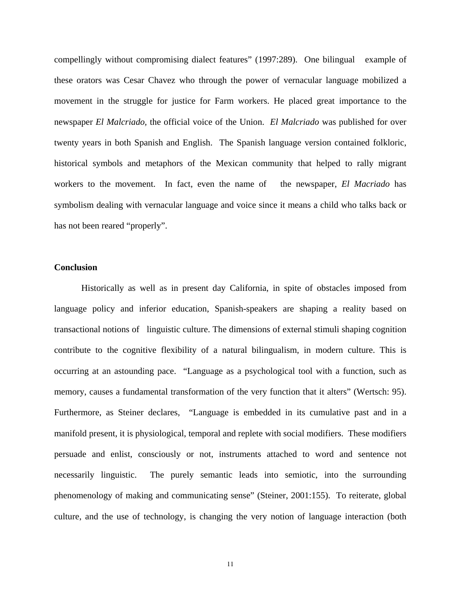compellingly without compromising dialect features" (1997:289). One bilingual example of these orators was Cesar Chavez who through the power of vernacular language mobilized a movement in the struggle for justice for Farm workers. He placed great importance to the newspaper *El Malcriado,* the official voice of the Union. *El Malcriado* was published for over twenty years in both Spanish and English. The Spanish language version contained folkloric, historical symbols and metaphors of the Mexican community that helped to rally migrant workers to the movement. In fact, even the name of the newspaper, *El Macriado* has symbolism dealing with vernacular language and voice since it means a child who talks back or has not been reared "properly".

## **Conclusion**

Historically as well as in present day California, in spite of obstacles imposed from language policy and inferior education, Spanish-speakers are shaping a reality based on transactional notions of linguistic culture. The dimensions of external stimuli shaping cognition contribute to the cognitive flexibility of a natural bilingualism, in modern culture. This is occurring at an astounding pace. "Language as a psychological tool with a function, such as memory, causes a fundamental transformation of the very function that it alters" (Wertsch: 95). Furthermore, as Steiner declares, "Language is embedded in its cumulative past and in a manifold present, it is physiological, temporal and replete with social modifiers. These modifiers persuade and enlist, consciously or not, instruments attached to word and sentence not necessarily linguistic. The purely semantic leads into semiotic, into the surrounding phenomenology of making and communicating sense" (Steiner, 2001:155). To reiterate, global culture, and the use of technology, is changing the very notion of language interaction (both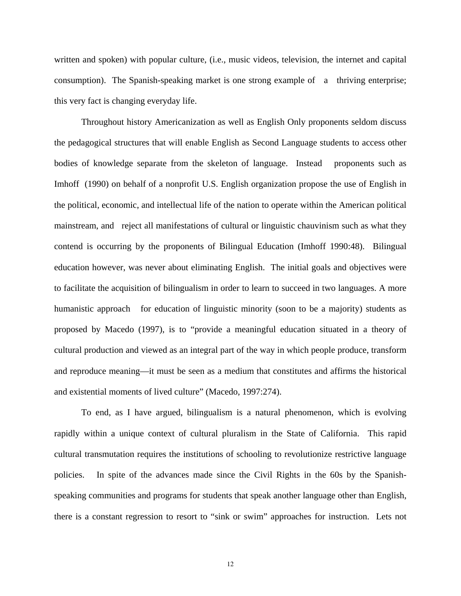written and spoken) with popular culture, (i.e., music videos, television, the internet and capital consumption). The Spanish-speaking market is one strong example of a thriving enterprise; this very fact is changing everyday life.

Throughout history Americanization as well as English Only proponents seldom discuss the pedagogical structures that will enable English as Second Language students to access other bodies of knowledge separate from the skeleton of language. Instead proponents such as Imhoff (1990) on behalf of a nonprofit U.S. English organization propose the use of English in the political, economic, and intellectual life of the nation to operate within the American political mainstream, and reject all manifestations of cultural or linguistic chauvinism such as what they contend is occurring by the proponents of Bilingual Education (Imhoff 1990:48). Bilingual education however, was never about eliminating English. The initial goals and objectives were to facilitate the acquisition of bilingualism in order to learn to succeed in two languages. A more humanistic approach for education of linguistic minority (soon to be a majority) students as proposed by Macedo (1997), is to "provide a meaningful education situated in a theory of cultural production and viewed as an integral part of the way in which people produce, transform and reproduce meaning—it must be seen as a medium that constitutes and affirms the historical and existential moments of lived culture" (Macedo, 1997:274).

To end, as I have argued, bilingualism is a natural phenomenon, which is evolving rapidly within a unique context of cultural pluralism in the State of California. This rapid cultural transmutation requires the institutions of schooling to revolutionize restrictive language policies. In spite of the advances made since the Civil Rights in the 60s by the Spanishspeaking communities and programs for students that speak another language other than English, there is a constant regression to resort to "sink or swim" approaches for instruction. Lets not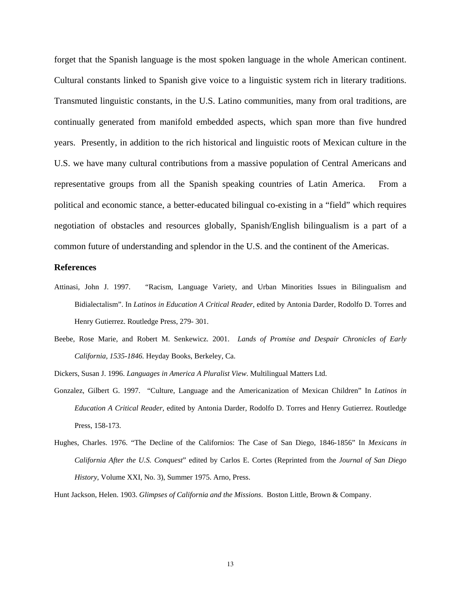forget that the Spanish language is the most spoken language in the whole American continent. Cultural constants linked to Spanish give voice to a linguistic system rich in literary traditions. Transmuted linguistic constants, in the U.S. Latino communities, many from oral traditions, are continually generated from manifold embedded aspects, which span more than five hundred years. Presently, in addition to the rich historical and linguistic roots of Mexican culture in the U.S. we have many cultural contributions from a massive population of Central Americans and representative groups from all the Spanish speaking countries of Latin America. From a political and economic stance, a better-educated bilingual co-existing in a "field" which requires negotiation of obstacles and resources globally, Spanish/English bilingualism is a part of a common future of understanding and splendor in the U.S. and the continent of the Americas.

#### **References**

- Attinasi, John J. 1997. "Racism, Language Variety, and Urban Minorities Issues in Bilingualism and Bidialectalism". In *Latinos in Education A Critical Reader*, edited by Antonia Darder, Rodolfo D. Torres and Henry Gutierrez. Routledge Press, 279- 301.
- Beebe, Rose Marie, and Robert M. Senkewicz. 2001. *Lands of Promise and Despair Chronicles of Early California, 1535-1846.* Heyday Books, Berkeley, Ca.
- Dickers, Susan J. 1996. *Languages in America A Pluralist View*. Multilingual Matters Ltd.
- Gonzalez, Gilbert G. 1997. "Culture, Language and the Americanization of Mexican Children" In *Latinos in Education A Critical Reader*, edited by Antonia Darder, Rodolfo D. Torres and Henry Gutierrez. Routledge Press, 158-173.
- Hughes, Charles. 1976. "The Decline of the Californios: The Case of San Diego, 1846-1856" In *Mexicans in California After the U.S. Conquest*" edited by Carlos E. Cortes (Reprinted from the *Journal of San Diego History*, Volume XXI, No. 3), Summer 1975. Arno, Press.

Hunt Jackson, Helen. 1903. *Glimpses of California and the Missions*. Boston Little, Brown & Company.